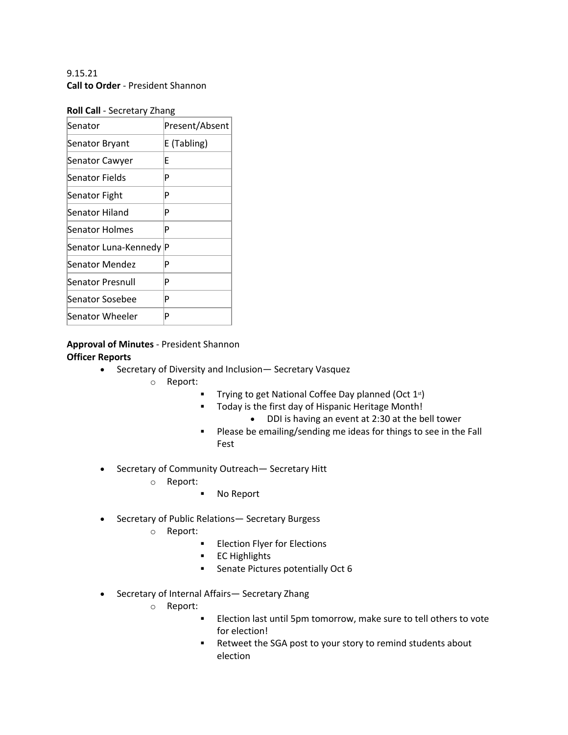9.15.21 **Call to Order** - President Shannon

| Roll Call - Secretary Zhang |
|-----------------------------|
|-----------------------------|

| Senator              | Present/Absent |
|----------------------|----------------|
| Senator Bryant       | E (Tabling)    |
| Senator Cawyer       | F              |
| Senator Fields       | P              |
| Senator Fight        | P              |
| Senator Hiland       | P              |
| Senator Holmes       | P              |
| Senator Luna-Kennedy | ΙP             |
| Senator Mendez       | P              |
| Senator Presnull     | P              |
| Senator Sosebee      | P              |
| Senator Wheeler      | P              |

# **Approval of Minutes** - President Shannon **Officer Reports**

- Secretary of Diversity and Inclusion— Secretary Vasquez
	- o Report:
		- **•** Trying to get National Coffee Day planned (Oct  $1^{st}$ )
		- Today is the first day of Hispanic Heritage Month!
			- DDI is having an event at 2:30 at the bell tower
		- § Please be emailing/sending me ideas for things to see in the Fall Fest
- Secretary of Community Outreach— Secretary Hitt
	- o Report:
		- § No Report
- Secretary of Public Relations— Secretary Burgess
	- o Report:
		- **Election Flyer for Elections**
		- § EC Highlights
		- Senate Pictures potentially Oct 6
- Secretary of Internal Affairs— Secretary Zhang
	- o Report:
		- Election last until 5pm tomorrow, make sure to tell others to vote for election!
		- Retweet the SGA post to your story to remind students about election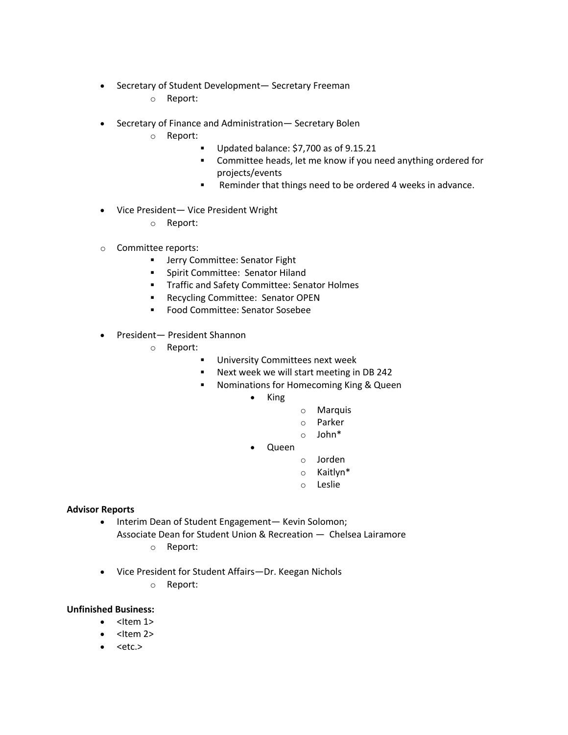- Secretary of Student Development— Secretary Freeman
	- o Report:
- Secretary of Finance and Administration— Secretary Bolen
	- o Report:
		- § Updated balance: \$7,700 as of 9.15.21
		- Committee heads, let me know if you need anything ordered for projects/events
		- Reminder that things need to be ordered 4 weeks in advance.
- Vice President— Vice President Wright
	- o Report:
- o Committee reports:
	- **■** Jerry Committee: Senator Fight
	- § Spirit Committee: Senator Hiland
	- § Traffic and Safety Committee: Senator Holmes
	- Recycling Committee: Senator OPEN
	- Food Committee: Senator Sosebee
- President— President Shannon
	- o Report:
		- **■** University Committees next week
		- § Next week we will start meeting in DB 242
		- **■** Nominations for Homecoming King & Queen
			- King
- o Marquis
- o Parker
- o John\*
- Queen
	- o Jorden
	- o Kaitlyn\*
	- o Leslie

# **Advisor Reports**

- Interim Dean of Student Engagement— Kevin Solomon;
	- Associate Dean for Student Union & Recreation Chelsea Lairamore

o Report:

• Vice President for Student Affairs—Dr. Keegan Nichols

o Report:

# **Unfinished Business:**

- $\bullet$  <Item 1>
- $\bullet$  <Item 2>
- $\bullet$  <etc.>